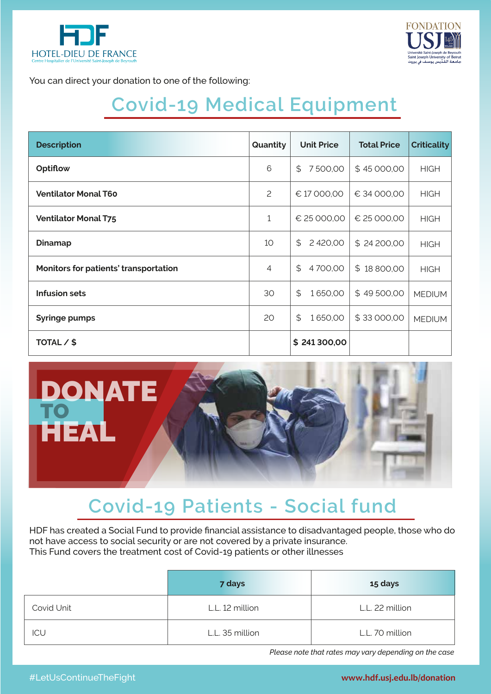



You can direct your donation to one of the following:

## **Covid-19 Medical Equipment**

| <b>Description</b>                    | Quantity       | <b>Unit Price</b> | <b>Total Price</b> | <b>Criticality</b> |
|---------------------------------------|----------------|-------------------|--------------------|--------------------|
| Optiflow                              | 6              | \$<br>7500,00     | \$45 000,00        | <b>HIGH</b>        |
| <b>Ventilator Monal T60</b>           | $\overline{c}$ | € 17 000,00       | € 34 000,00        | <b>HIGH</b>        |
| <b>Ventilator Monal T75</b>           | 1              | € 25 000,00       | € 25 000,00        | <b>HIGH</b>        |
| <b>Dinamap</b>                        | 10             | \$<br>2 420,00    | \$24 200,00        | <b>HIGH</b>        |
| Monitors for patients' transportation | 4              | \$<br>4700,00     | \$18800,00         | <b>HIGH</b>        |
| Infusion sets                         | 30             | \$<br>1650,00     | \$49500,00         | <b>MEDIUM</b>      |
| <b>Syringe pumps</b>                  | 20             | \$<br>1650,00     | \$33000,00         | <b>MEDIUM</b>      |
| TOTAL / \$                            |                | \$241300,00       |                    |                    |



## **Covid-19 Patients - Social fund**

HDF has created a Social Fund to provide financial assistance to disadvantaged people, those who do not have access to social security or are not covered by a private insurance. This Fund covers the treatment cost of Covid-19 patients or other illnesses

|            | 7 days          | 15 days         |
|------------|-----------------|-----------------|
| Covid Unit | L.L. 12 million | L.L. 22 million |
| ICU        | L.L. 35 million | L.L. 70 million |

*Please note that rates may vary depending on the case*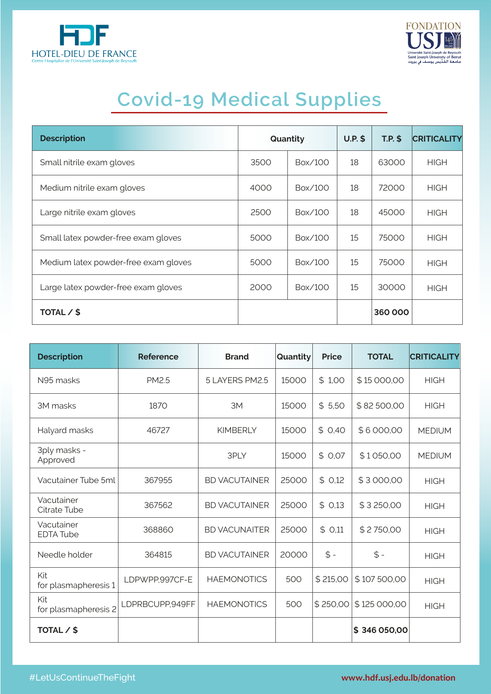



## **Covid-19 Medical Supplies**

| <b>Description</b>                   | Quantity |         | $U.P.$ \$ | $T.P.$ \$ | <b>CRITICALITY</b> |
|--------------------------------------|----------|---------|-----------|-----------|--------------------|
| Small nitrile exam gloves            | 3500     | Box/100 | 18        | 63000     | <b>HIGH</b>        |
| Medium nitrile exam gloves           | 4000     | Box/100 | 18        | 72000     | <b>HIGH</b>        |
| Large nitrile exam gloves            | 2500     | Box/100 | 18        | 45000     | <b>HIGH</b>        |
| Small latex powder-free exam gloves  | 5000     | Box/100 | 15        | 75000     | <b>HIGH</b>        |
| Medium latex powder-free exam gloves | 5000     | Box/100 | 15        | 75000     | <b>HIGH</b>        |
| Large latex powder-free exam gloves  | 2000     | Box/100 | 15        | 30000     | <b>HIGH</b>        |
| TOTAL / \$                           |          |         |           | 360000    |                    |

| <b>Description</b>             | <b>Reference</b> | <b>Brand</b>         | Quantity | <b>Price</b> | <b>TOTAL</b> | <b>CRITICALITY</b> |
|--------------------------------|------------------|----------------------|----------|--------------|--------------|--------------------|
| N95 masks                      | <b>PM2.5</b>     | 5 LAYERS PM2.5       | 15000    | \$1,00       | \$15 000,00  | <b>HIGH</b>        |
| 3M masks                       | 1870             | 3M                   | 15000    | \$5,50       | \$82500,00   | <b>HIGH</b>        |
| Halyard masks                  | 46727            | <b>KIMBERLY</b>      | 15000    | \$0,40       | \$6000,00    | <b>MEDIUM</b>      |
| 3ply masks -<br>Approved       |                  | 3PLY                 | 15000    | \$0,07       | \$1050,00    | <b>MEDIUM</b>      |
| Vacutainer Tube 5ml            | 367955           | <b>BD VACUTAINER</b> | 25000    | \$0,12       | \$3000,00    | <b>HIGH</b>        |
| Vacutainer<br>Citrate Tube     | 367562           | <b>BD VACUTAINER</b> | 25000    | \$0.13       | \$3250,00    | <b>HIGH</b>        |
| Vacutainer<br><b>EDTA Tube</b> | 368860           | <b>BD VACUNAITER</b> | 25000    | \$0,11       | \$2750,00    | <b>HIGH</b>        |
| Needle holder                  | 364815           | <b>BD VACUTAINER</b> | 20000    | $$ -$        | $$ -$        | <b>HIGH</b>        |
| Kit<br>for plasmapheresis 1    | LDPWPP,997CF-E   | <b>HAEMONOTICS</b>   | 500      | \$215,00     | \$107500,00  | <b>HIGH</b>        |
| Kit<br>for plasmapheresis 2    | LDPRBCUPP,949FF  | <b>HAEMONOTICS</b>   | 500      | \$250,00     | \$125 000,00 | <b>HIGH</b>        |
| TOTAL / \$                     |                  |                      |          |              | \$346 050,00 |                    |